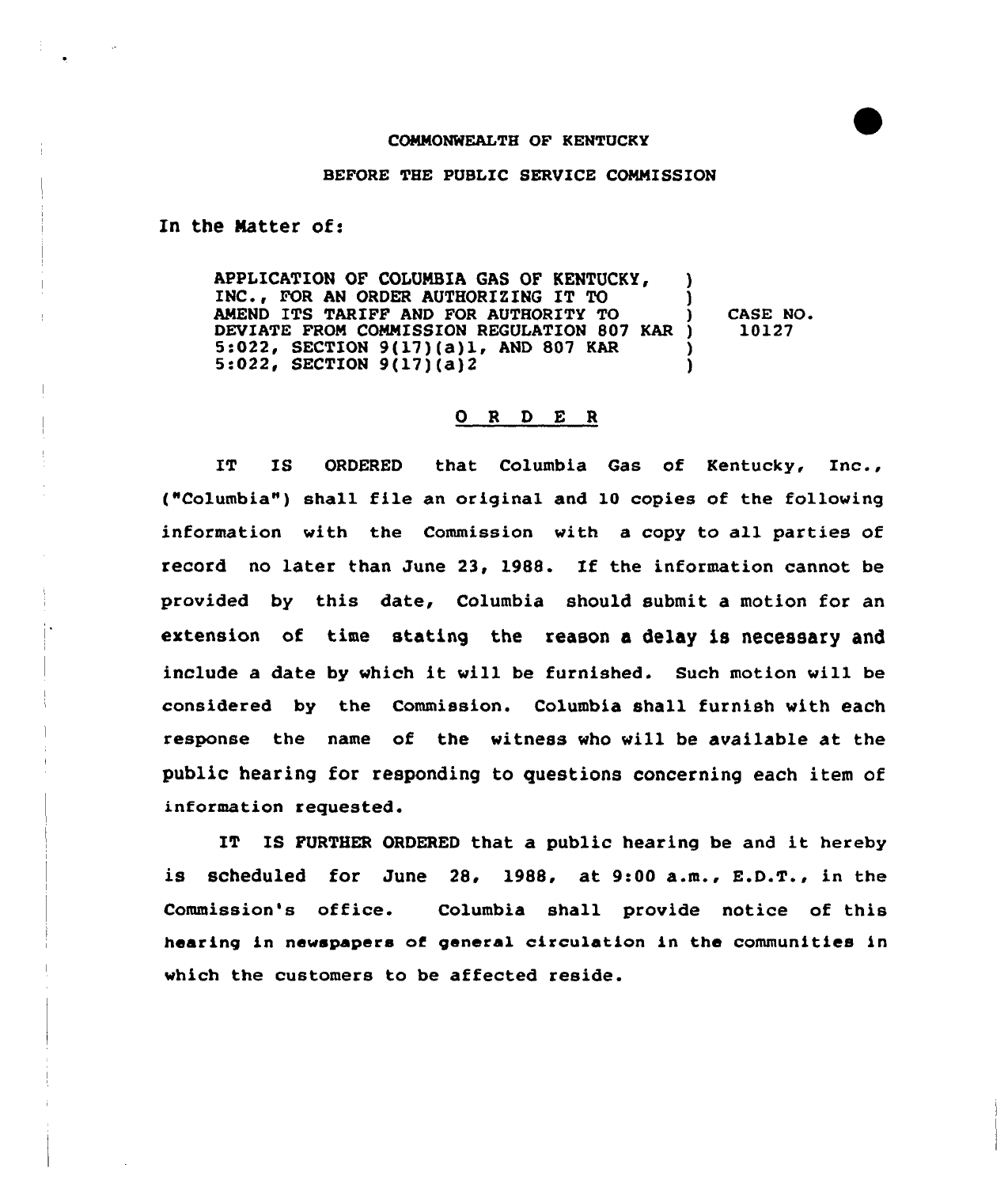## BEFORE THE PUBLIC SERVICE COMMISSION

In the Natter of:

APPLICATION OF COLUMBIA GAS OF KENTUCKY, INC., FOR AN ORDER AUTHORIZING IT TO AMEND ITS TARIFP AND FOR AUTHORITY TO DEVIATE FROM COMMISSION REGULATION 807 KAR ) 5:022, SECTION 9(17)(a)1, AND 807 KAR<br>5:022, SECTION 9(17)(a)2 ) ) ) CASE NO ) 10127 ) )

## 0 <sup>R</sup> <sup>D</sup> E <sup>R</sup>

IT IS ORDERED that Columbia Gas of Kentucky, Inc., ("Columbia") shall file an original and 10 copies of the following information with the Commission with a copy to all parties of record no later than June 23, 1988. If the information cannot be provided by this date, Columbia should submit a motion for an extension of time stating the reason a delay is necessary and include <sup>a</sup> date by vhich it will be furnished. Such motion vill be considered by the Commission. Columbia shall furnish with each response the name of the witness vho vill be available at the public hearing for responding to questions concerning each item of information requested.

IT IS FURTHER ORDERED that <sup>a</sup> public hearing be and it hereby is scheduled for June 28, 1988, at 9:00 a.m., E.D.T., in the Commission's office. Columbia shall provide notice of this hearing in newspapers of general circulation in the communities in which the customers to be affected reside.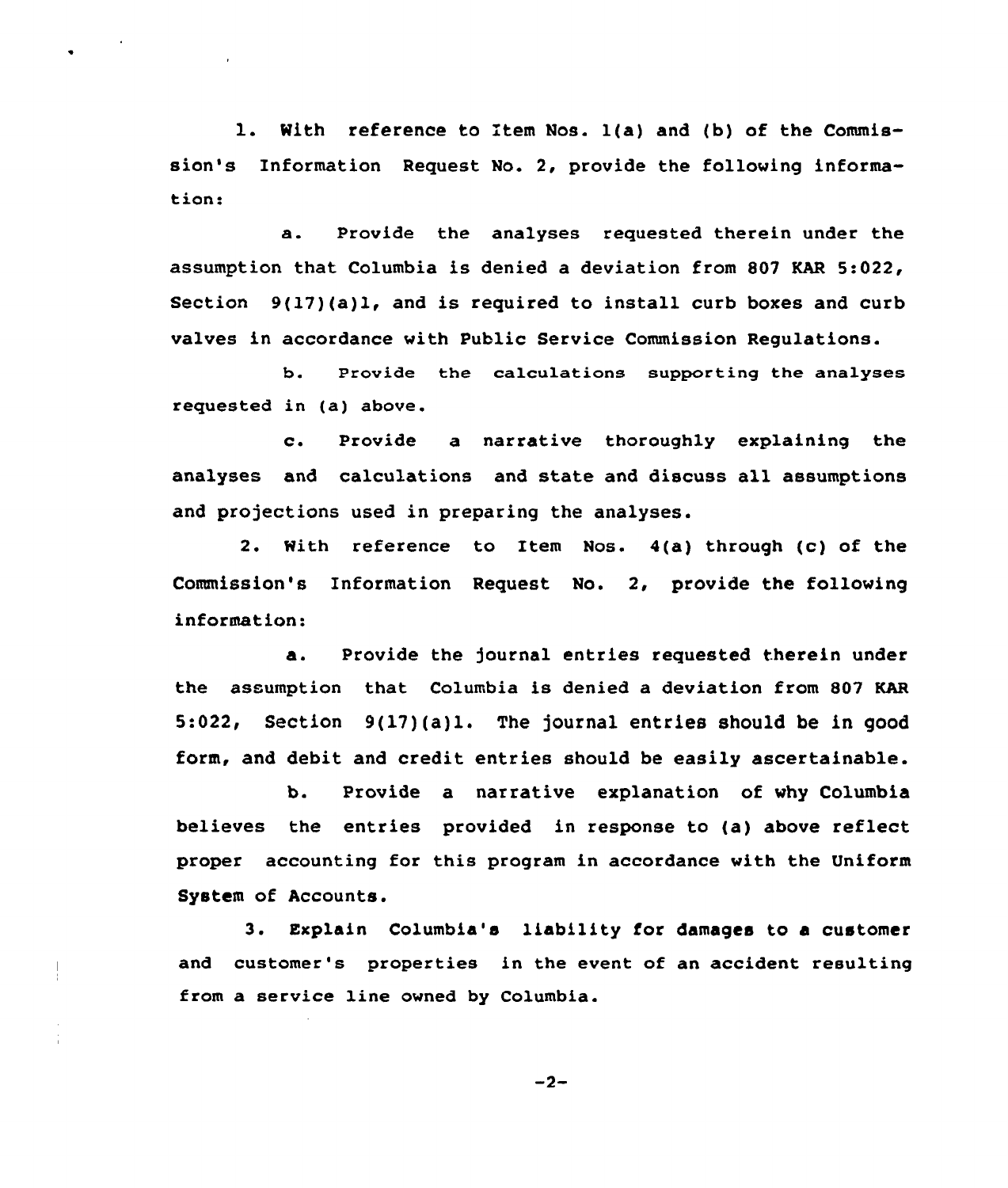1. With reference to Item Nos. 1(a) and (b) of the Commission's Information Request No. 2, provide the following information:

a. Provide the analyses requested therein under the assumption that Columbia is denied a deviation from 807 KAR 5:022, Section 9(17)(a)1, and is required to install curb boxes and curb valves in accordance with Public Service Commission Regulations.

b. Provide the calculations supporting the analyses requested in (a) above.

c. Provide <sup>a</sup> narrative thoroughly explaining the analyses and calculations and state and discuss all assumptions and projections used in preparing the analyses.

2. With reference to Item Nos. 4(a) through (c) of the Commission's Information Request No. 2, provide the following information:

a. Provide the journal entries requested therein under the assumption that Columbia is denied a deviation from 807 KAR 5:022, Section 9(17)(a)1. The journal entries should be in good form, and debit and credit entries should be easily ascertainable.

b. Provide a narrative explanation of why Columbia believes the entries provided in response to (a) above reflect proper accounting for this program in accordance with the Uniform System of Accounts.

3. Explain Columbia's liability for damages to a customer and customer's properties in the event of an accident resulting from a service line owned by Columbia.

 $-2-$